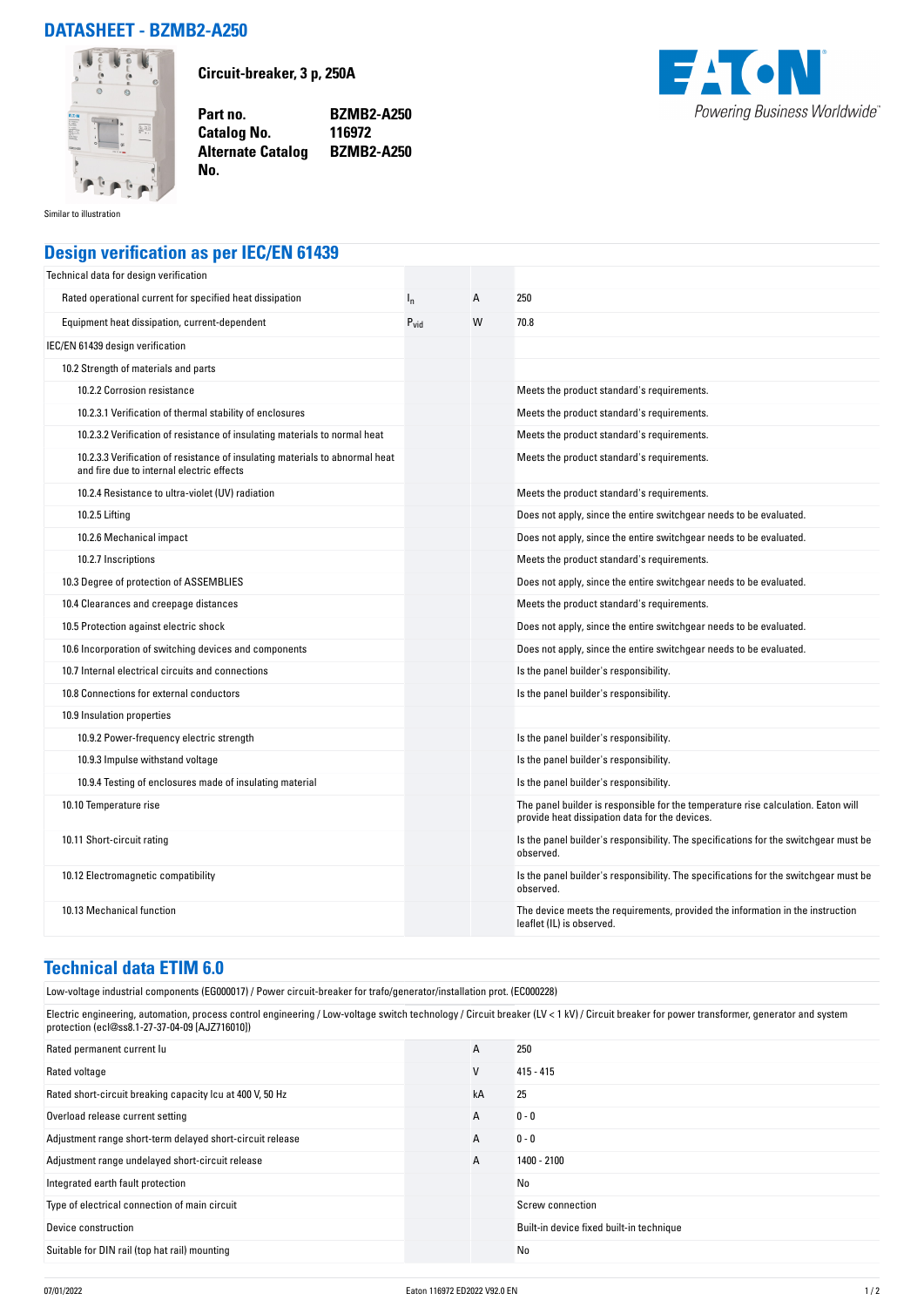## **DATASHEET - BZMB2-A250**



**Circuit-breaker, 3 p, 250A**

**Catalog No.** 

**No.** 

**Part no. BZMB2-A250 Alternate Catalog BZMB2-A250**



Similar to illustration

## **Design verification as per IEC/EN 61439**

| Technical data for design verification                                                                                    |           |   |                                                                                                                                     |
|---------------------------------------------------------------------------------------------------------------------------|-----------|---|-------------------------------------------------------------------------------------------------------------------------------------|
| Rated operational current for specified heat dissipation                                                                  | $I_{n}$   | A | 250                                                                                                                                 |
| Equipment heat dissipation, current-dependent                                                                             | $P_{vid}$ | W | 70.8                                                                                                                                |
| IEC/EN 61439 design verification                                                                                          |           |   |                                                                                                                                     |
| 10.2 Strength of materials and parts                                                                                      |           |   |                                                                                                                                     |
| 10.2.2 Corrosion resistance                                                                                               |           |   | Meets the product standard's requirements.                                                                                          |
| 10.2.3.1 Verification of thermal stability of enclosures                                                                  |           |   | Meets the product standard's requirements.                                                                                          |
| 10.2.3.2 Verification of resistance of insulating materials to normal heat                                                |           |   | Meets the product standard's requirements.                                                                                          |
| 10.2.3.3 Verification of resistance of insulating materials to abnormal heat<br>and fire due to internal electric effects |           |   | Meets the product standard's requirements.                                                                                          |
| 10.2.4 Resistance to ultra-violet (UV) radiation                                                                          |           |   | Meets the product standard's requirements.                                                                                          |
| 10.2.5 Lifting                                                                                                            |           |   | Does not apply, since the entire switchgear needs to be evaluated.                                                                  |
| 10.2.6 Mechanical impact                                                                                                  |           |   | Does not apply, since the entire switchgear needs to be evaluated.                                                                  |
| 10.2.7 Inscriptions                                                                                                       |           |   | Meets the product standard's requirements.                                                                                          |
| 10.3 Degree of protection of ASSEMBLIES                                                                                   |           |   | Does not apply, since the entire switchgear needs to be evaluated.                                                                  |
| 10.4 Clearances and creepage distances                                                                                    |           |   | Meets the product standard's requirements.                                                                                          |
| 10.5 Protection against electric shock                                                                                    |           |   | Does not apply, since the entire switchgear needs to be evaluated.                                                                  |
| 10.6 Incorporation of switching devices and components                                                                    |           |   | Does not apply, since the entire switchgear needs to be evaluated.                                                                  |
| 10.7 Internal electrical circuits and connections                                                                         |           |   | Is the panel builder's responsibility.                                                                                              |
| 10.8 Connections for external conductors                                                                                  |           |   | Is the panel builder's responsibility.                                                                                              |
| 10.9 Insulation properties                                                                                                |           |   |                                                                                                                                     |
| 10.9.2 Power-frequency electric strength                                                                                  |           |   | Is the panel builder's responsibility.                                                                                              |
| 10.9.3 Impulse withstand voltage                                                                                          |           |   | Is the panel builder's responsibility.                                                                                              |
| 10.9.4 Testing of enclosures made of insulating material                                                                  |           |   | Is the panel builder's responsibility.                                                                                              |
| 10.10 Temperature rise                                                                                                    |           |   | The panel builder is responsible for the temperature rise calculation. Eaton will<br>provide heat dissipation data for the devices. |
| 10.11 Short-circuit rating                                                                                                |           |   | Is the panel builder's responsibility. The specifications for the switchgear must be<br>observed.                                   |
| 10.12 Electromagnetic compatibility                                                                                       |           |   | Is the panel builder's responsibility. The specifications for the switchgear must be<br>observed.                                   |
| 10.13 Mechanical function                                                                                                 |           |   | The device meets the requirements, provided the information in the instruction<br>leaflet (IL) is observed.                         |

## **Technical data ETIM 6.0**

Low-voltage industrial components (EG000017) / Power circuit-breaker for trafo/generator/installation prot. (EC000228)

Electric engineering, automation, process control engineering / Low-voltage switch technology / Circuit breaker (LV < 1 kV) / Circuit breaker for power transformer, generator and system protection (ecl@ss8.1-27-37-04-09 [AJZ716010])

| Rated permanent current lu                                | A  | 250                                      |
|-----------------------------------------------------------|----|------------------------------------------|
| Rated voltage                                             | V  | $415 - 415$                              |
| Rated short-circuit breaking capacity Icu at 400 V, 50 Hz | kA | 25                                       |
| Overload release current setting                          | A  | $0 - 0$                                  |
| Adjustment range short-term delayed short-circuit release | A  | $0 - 0$                                  |
| Adjustment range undelayed short-circuit release          | A  | 1400 - 2100                              |
| Integrated earth fault protection                         |    | No                                       |
| Type of electrical connection of main circuit             |    | Screw connection                         |
| Device construction                                       |    | Built-in device fixed built-in technique |
| Suitable for DIN rail (top hat rail) mounting             |    | No                                       |